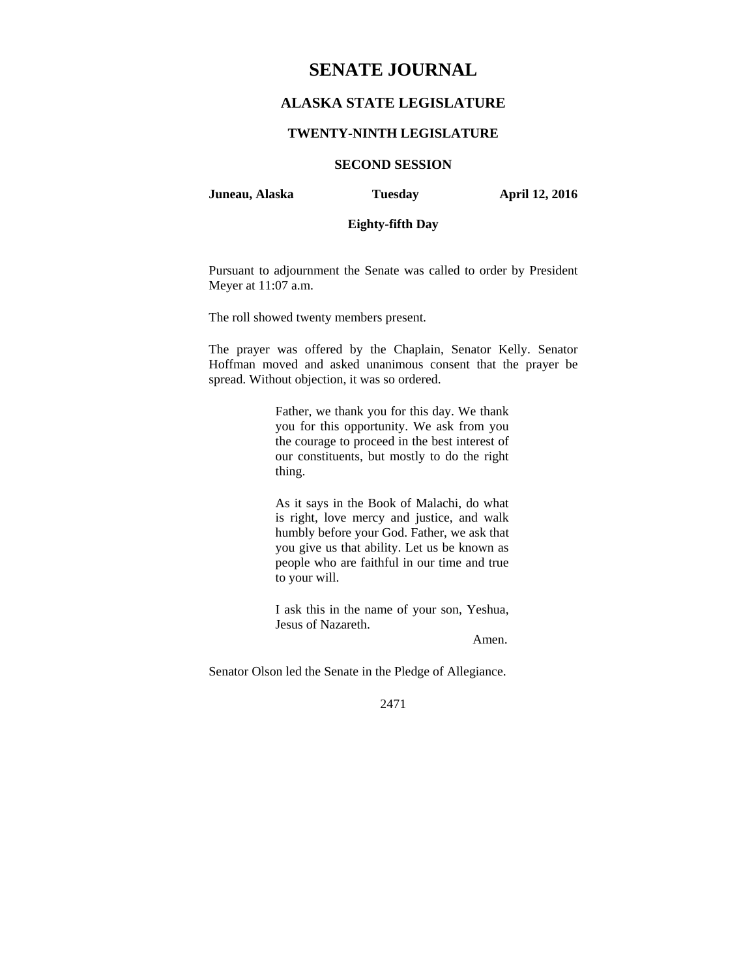# **SENATE JOURNAL**

# **ALASKA STATE LEGISLATURE**

## **TWENTY-NINTH LEGISLATURE**

## **SECOND SESSION**

**Juneau, Alaska Tuesday April 12, 2016** 

# **Eighty-fifth Day**

Pursuant to adjournment the Senate was called to order by President Meyer at 11:07 a.m.

The roll showed twenty members present.

The prayer was offered by the Chaplain, Senator Kelly. Senator Hoffman moved and asked unanimous consent that the prayer be spread. Without objection, it was so ordered.

> Father, we thank you for this day. We thank you for this opportunity. We ask from you the courage to proceed in the best interest of our constituents, but mostly to do the right thing.

> As it says in the Book of Malachi, do what is right, love mercy and justice, and walk humbly before your God. Father, we ask that you give us that ability. Let us be known as people who are faithful in our time and true to your will.

> I ask this in the name of your son, Yeshua, Jesus of Nazareth.

> > Amen.

Senator Olson led the Senate in the Pledge of Allegiance.

2471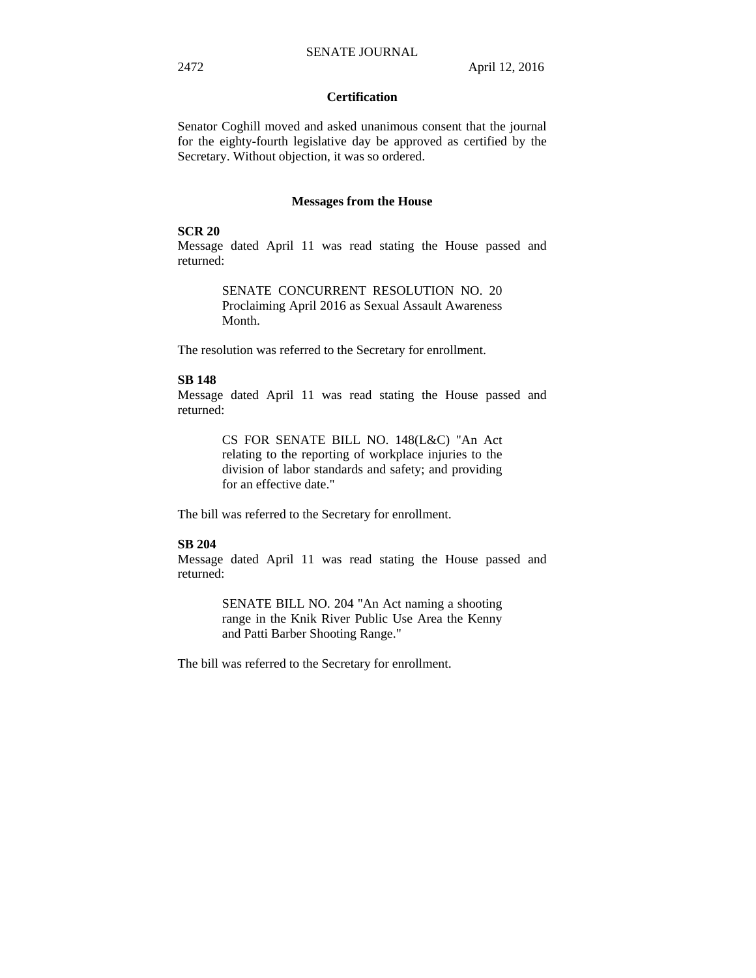## **Certification**

Senator Coghill moved and asked unanimous consent that the journal for the eighty-fourth legislative day be approved as certified by the Secretary. Without objection, it was so ordered.

#### **Messages from the House**

#### **SCR 20**

Message dated April 11 was read stating the House passed and returned:

> SENATE CONCURRENT RESOLUTION NO. 20 Proclaiming April 2016 as Sexual Assault Awareness Month.

The resolution was referred to the Secretary for enrollment.

### **SB 148**

Message dated April 11 was read stating the House passed and returned:

> CS FOR SENATE BILL NO. 148(L&C) "An Act relating to the reporting of workplace injuries to the division of labor standards and safety; and providing for an effective date."

The bill was referred to the Secretary for enrollment.

#### **SB 204**

Message dated April 11 was read stating the House passed and returned:

> SENATE BILL NO. 204 "An Act naming a shooting range in the Knik River Public Use Area the Kenny and Patti Barber Shooting Range."

The bill was referred to the Secretary for enrollment.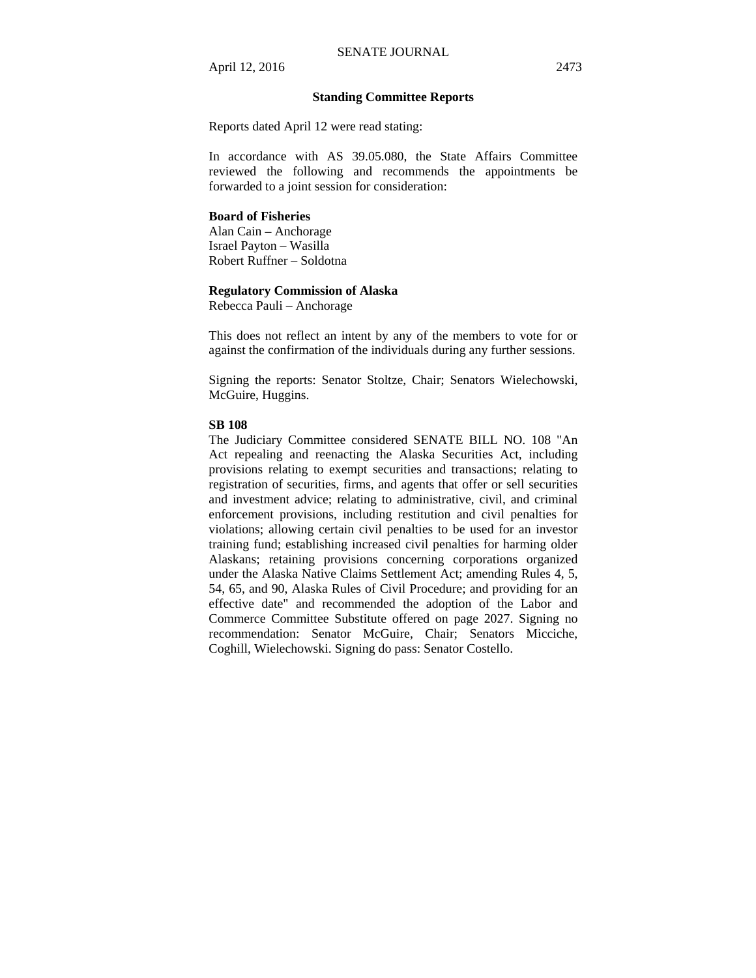#### **Standing Committee Reports**

Reports dated April 12 were read stating:

In accordance with AS 39.05.080, the State Affairs Committee reviewed the following and recommends the appointments be forwarded to a joint session for consideration:

#### **Board of Fisheries**

Alan Cain – Anchorage Israel Payton – Wasilla Robert Ruffner – Soldotna

#### **Regulatory Commission of Alaska**

Rebecca Pauli – Anchorage

This does not reflect an intent by any of the members to vote for or against the confirmation of the individuals during any further sessions.

Signing the reports: Senator Stoltze, Chair; Senators Wielechowski, McGuire, Huggins.

#### **SB 108**

The Judiciary Committee considered SENATE BILL NO. 108 "An Act repealing and reenacting the Alaska Securities Act, including provisions relating to exempt securities and transactions; relating to registration of securities, firms, and agents that offer or sell securities and investment advice; relating to administrative, civil, and criminal enforcement provisions, including restitution and civil penalties for violations; allowing certain civil penalties to be used for an investor training fund; establishing increased civil penalties for harming older Alaskans; retaining provisions concerning corporations organized under the Alaska Native Claims Settlement Act; amending Rules 4, 5, 54, 65, and 90, Alaska Rules of Civil Procedure; and providing for an effective date" and recommended the adoption of the Labor and Commerce Committee Substitute offered on page 2027. Signing no recommendation: Senator McGuire, Chair; Senators Micciche, Coghill, Wielechowski. Signing do pass: Senator Costello.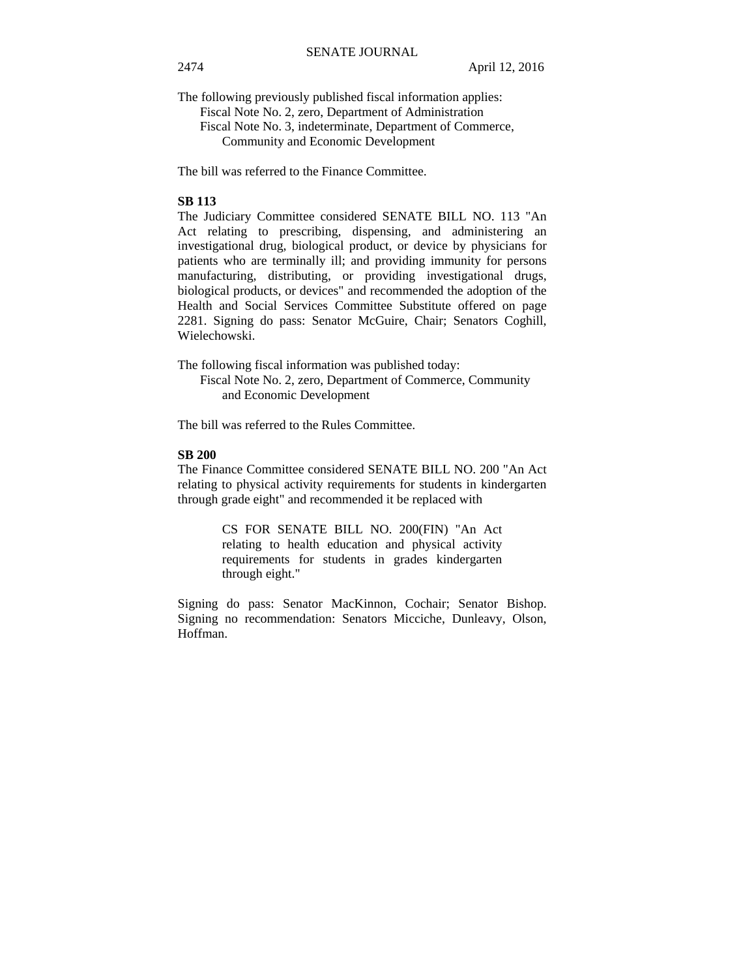The following previously published fiscal information applies:

Fiscal Note No. 2, zero, Department of Administration Fiscal Note No. 3, indeterminate, Department of Commerce, Community and Economic Development

The bill was referred to the Finance Committee.

#### **SB 113**

The Judiciary Committee considered SENATE BILL NO. 113 "An Act relating to prescribing, dispensing, and administering an investigational drug, biological product, or device by physicians for patients who are terminally ill; and providing immunity for persons manufacturing, distributing, or providing investigational drugs, biological products, or devices" and recommended the adoption of the Health and Social Services Committee Substitute offered on page 2281. Signing do pass: Senator McGuire, Chair; Senators Coghill, Wielechowski.

The following fiscal information was published today:

Fiscal Note No. 2, zero, Department of Commerce, Community and Economic Development

The bill was referred to the Rules Committee.

# **SB 200**

The Finance Committee considered SENATE BILL NO. 200 "An Act relating to physical activity requirements for students in kindergarten through grade eight" and recommended it be replaced with

> CS FOR SENATE BILL NO. 200(FIN) "An Act relating to health education and physical activity requirements for students in grades kindergarten through eight."

Signing do pass: Senator MacKinnon, Cochair; Senator Bishop. Signing no recommendation: Senators Micciche, Dunleavy, Olson, Hoffman.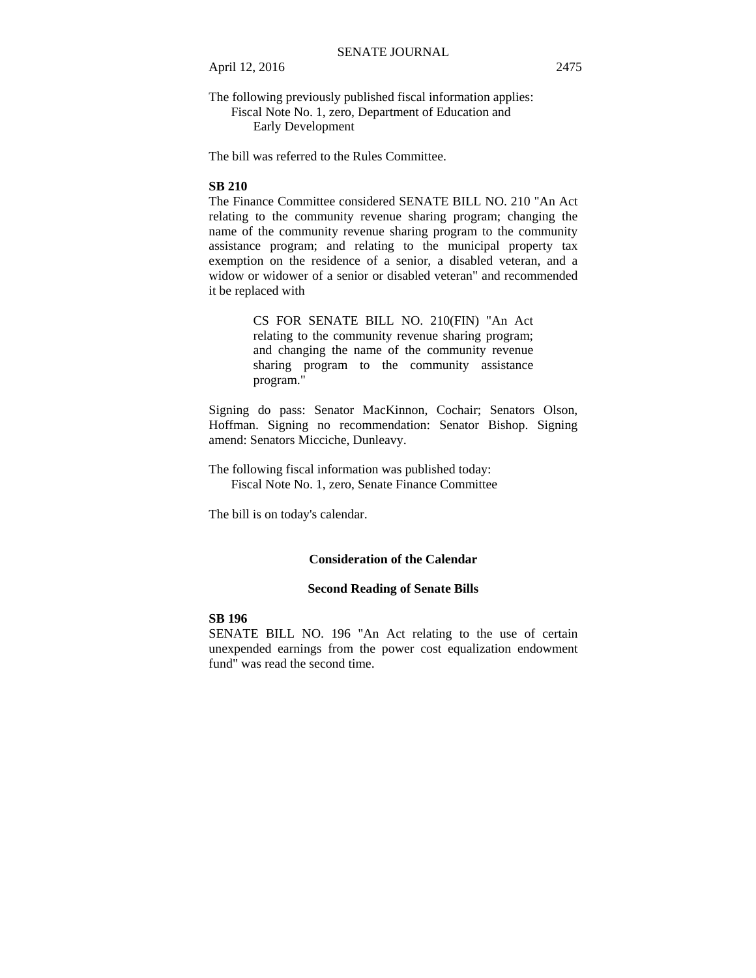The following previously published fiscal information applies: Fiscal Note No. 1, zero, Department of Education and Early Development

The bill was referred to the Rules Committee.

#### **SB 210**

The Finance Committee considered SENATE BILL NO. 210 "An Act relating to the community revenue sharing program; changing the name of the community revenue sharing program to the community assistance program; and relating to the municipal property tax exemption on the residence of a senior, a disabled veteran, and a widow or widower of a senior or disabled veteran" and recommended it be replaced with

> CS FOR SENATE BILL NO. 210(FIN) "An Act relating to the community revenue sharing program; and changing the name of the community revenue sharing program to the community assistance program."

Signing do pass: Senator MacKinnon, Cochair; Senators Olson, Hoffman. Signing no recommendation: Senator Bishop. Signing amend: Senators Micciche, Dunleavy.

The following fiscal information was published today: Fiscal Note No. 1, zero, Senate Finance Committee

The bill is on today's calendar.

#### **Consideration of the Calendar**

#### **Second Reading of Senate Bills**

#### **SB 196**

SENATE BILL NO. 196 "An Act relating to the use of certain unexpended earnings from the power cost equalization endowment fund" was read the second time.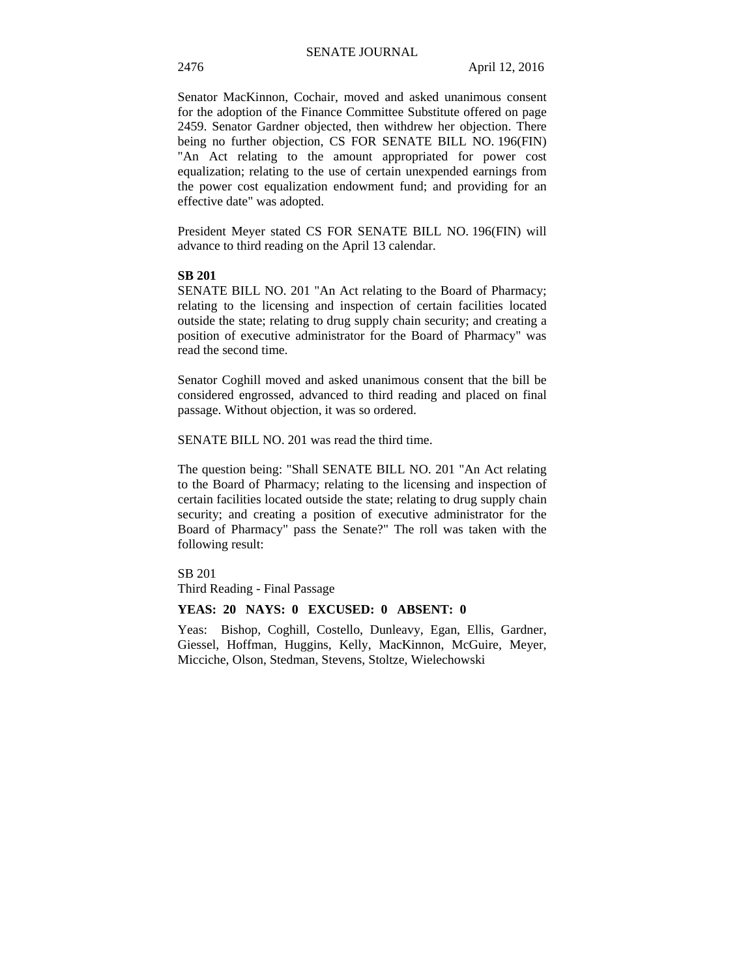Senator MacKinnon, Cochair, moved and asked unanimous consent for the adoption of the Finance Committee Substitute offered on page 2459. Senator Gardner objected, then withdrew her objection. There being no further objection, CS FOR SENATE BILL NO. 196(FIN) "An Act relating to the amount appropriated for power cost equalization; relating to the use of certain unexpended earnings from the power cost equalization endowment fund; and providing for an effective date" was adopted.

President Meyer stated CS FOR SENATE BILL NO. 196(FIN) will advance to third reading on the April 13 calendar.

## **SB 201**

SENATE BILL NO. 201 "An Act relating to the Board of Pharmacy; relating to the licensing and inspection of certain facilities located outside the state; relating to drug supply chain security; and creating a position of executive administrator for the Board of Pharmacy" was read the second time.

Senator Coghill moved and asked unanimous consent that the bill be considered engrossed, advanced to third reading and placed on final passage. Without objection, it was so ordered.

SENATE BILL NO. 201 was read the third time.

The question being: "Shall SENATE BILL NO. 201 "An Act relating to the Board of Pharmacy; relating to the licensing and inspection of certain facilities located outside the state; relating to drug supply chain security; and creating a position of executive administrator for the Board of Pharmacy" pass the Senate?" The roll was taken with the following result:

#### SB 201

Third Reading - Final Passage

#### **YEAS: 20 NAYS: 0 EXCUSED: 0 ABSENT: 0**

Yeas: Bishop, Coghill, Costello, Dunleavy, Egan, Ellis, Gardner, Giessel, Hoffman, Huggins, Kelly, MacKinnon, McGuire, Meyer, Micciche, Olson, Stedman, Stevens, Stoltze, Wielechowski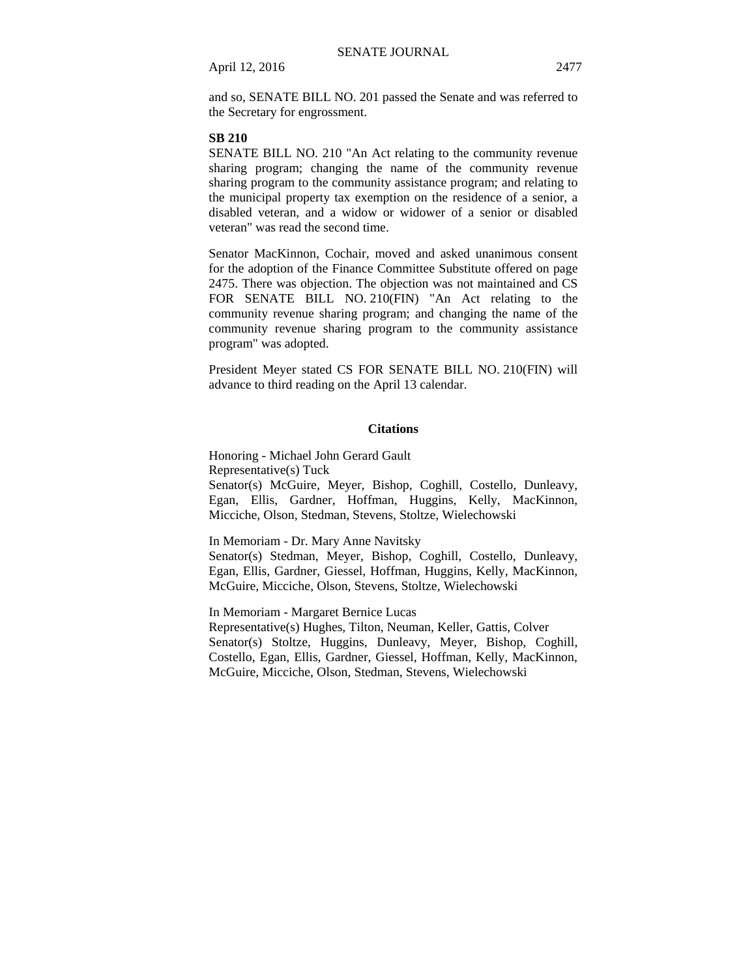and so, SENATE BILL NO. 201 passed the Senate and was referred to the Secretary for engrossment.

#### **SB 210**

SENATE BILL NO. 210 "An Act relating to the community revenue sharing program; changing the name of the community revenue sharing program to the community assistance program; and relating to the municipal property tax exemption on the residence of a senior, a disabled veteran, and a widow or widower of a senior or disabled veteran" was read the second time.

Senator MacKinnon, Cochair, moved and asked unanimous consent for the adoption of the Finance Committee Substitute offered on page 2475. There was objection. The objection was not maintained and CS FOR SENATE BILL NO. 210(FIN) "An Act relating to the community revenue sharing program; and changing the name of the community revenue sharing program to the community assistance program" was adopted.

President Meyer stated CS FOR SENATE BILL NO. 210(FIN) will advance to third reading on the April 13 calendar.

### **Citations**

Honoring - Michael John Gerard Gault Representative(s) Tuck Senator(s) McGuire, Meyer, Bishop, Coghill, Costello, Dunleavy, Egan, Ellis, Gardner, Hoffman, Huggins, Kelly, MacKinnon, Micciche, Olson, Stedman, Stevens, Stoltze, Wielechowski

In Memoriam - Dr. Mary Anne Navitsky

Senator(s) Stedman, Meyer, Bishop, Coghill, Costello, Dunleavy, Egan, Ellis, Gardner, Giessel, Hoffman, Huggins, Kelly, MacKinnon, McGuire, Micciche, Olson, Stevens, Stoltze, Wielechowski

In Memoriam - Margaret Bernice Lucas Representative(s) Hughes, Tilton, Neuman, Keller, Gattis, Colver Senator(s) Stoltze, Huggins, Dunleavy, Meyer, Bishop, Coghill, Costello, Egan, Ellis, Gardner, Giessel, Hoffman, Kelly, MacKinnon, McGuire, Micciche, Olson, Stedman, Stevens, Wielechowski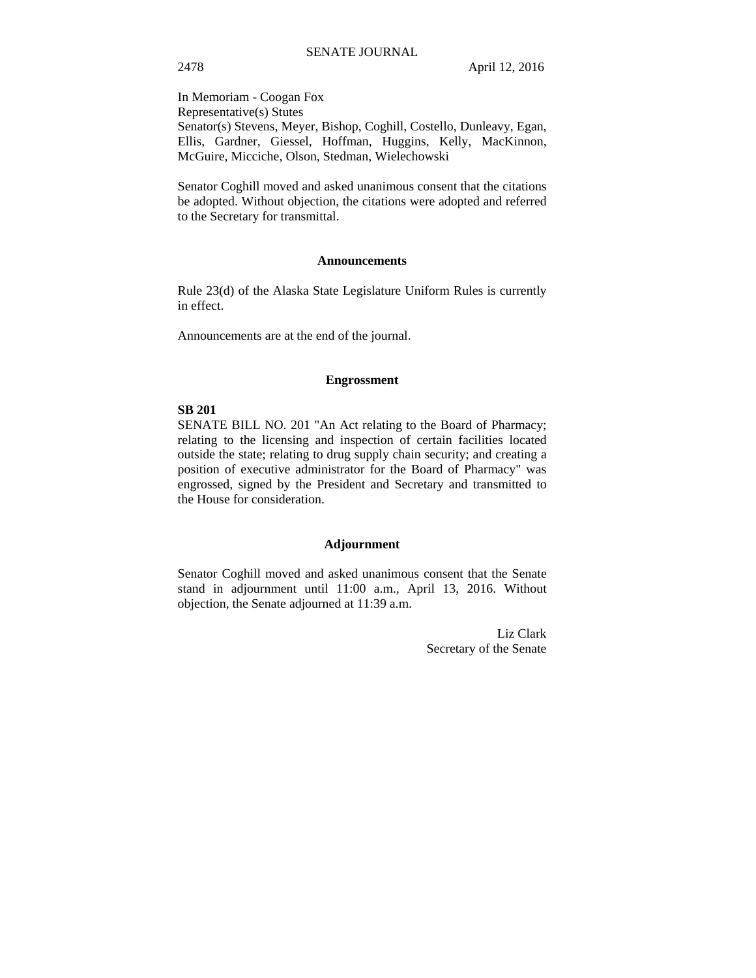In Memoriam - Coogan Fox Representative(s) Stutes Senator(s) Stevens, Meyer, Bishop, Coghill, Costello, Dunleavy, Egan, Ellis, Gardner, Giessel, Hoffman, Huggins, Kelly, MacKinnon, McGuire, Micciche, Olson, Stedman, Wielechowski

Senator Coghill moved and asked unanimous consent that the citations be adopted. Without objection, the citations were adopted and referred to the Secretary for transmittal.

#### **Announcements**

Rule 23(d) of the Alaska State Legislature Uniform Rules is currently in effect.

Announcements are at the end of the journal.

#### **Engrossment**

### **SB 201**

SENATE BILL NO. 201 "An Act relating to the Board of Pharmacy; relating to the licensing and inspection of certain facilities located outside the state; relating to drug supply chain security; and creating a position of executive administrator for the Board of Pharmacy" was engrossed, signed by the President and Secretary and transmitted to the House for consideration.

#### **Adjournment**

Senator Coghill moved and asked unanimous consent that the Senate stand in adjournment until 11:00 a.m., April 13, 2016. Without objection, the Senate adjourned at 11:39 a.m.

> Liz Clark Secretary of the Senate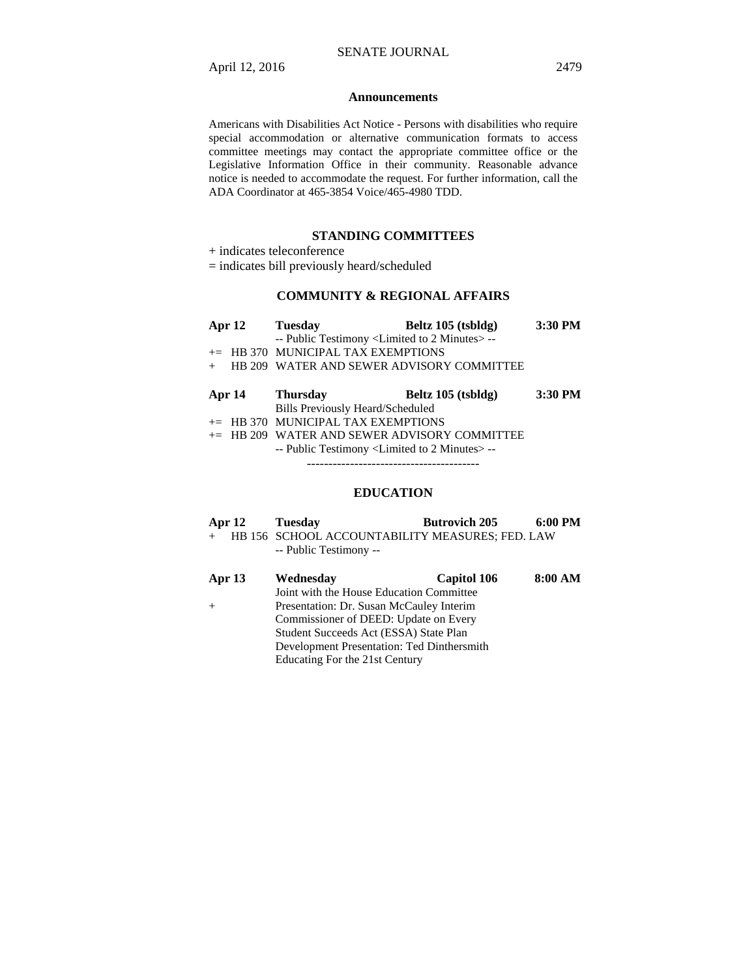#### **Announcements**

Americans with Disabilities Act Notice - Persons with disabilities who require special accommodation or alternative communication formats to access committee meetings may contact the appropriate committee office or the Legislative Information Office in their community. Reasonable advance notice is needed to accommodate the request. For further information, call the ADA Coordinator at 465-3854 Voice/465-4980 TDD.

### **STANDING COMMITTEES**

+ indicates teleconference

= indicates bill previously heard/scheduled

# **COMMUNITY & REGIONAL AFFAIRS**

| Apr $12$ | <b>Tuesday</b>                                                   | Beltz 105 (tsbldg)                             | 3:30 PM |
|----------|------------------------------------------------------------------|------------------------------------------------|---------|
|          | -- Public Testimony <limited 2="" minutes="" to="">--</limited>  |                                                |         |
|          | $+=$ HB 370 MUNICIPAL TAX EXEMPTIONS                             |                                                |         |
| $+$      |                                                                  | HB 209 WATER AND SEWER ADVISORY COMMITTEE      |         |
|          |                                                                  |                                                |         |
| Apr 14   | <b>Thursday</b>                                                  | Beltz 105 (tsbldg)                             | 3:30 PM |
|          | Bills Previously Heard/Scheduled                                 |                                                |         |
|          | $+=$ HB 370 MUNICIPAL TAX EXEMPTIONS                             |                                                |         |
|          |                                                                  | $+=$ HB 209 WATER AND SEWER ADVISORY COMMITTEE |         |
|          | -- Public Testimony <limited 2="" minutes="" to=""> --</limited> |                                                |         |
|          |                                                                  |                                                |         |
|          |                                                                  |                                                |         |

## **EDUCATION**

| Apr $12$ | Tuesday                                           | <b>Butrovich 205</b> | 6:00 PM |
|----------|---------------------------------------------------|----------------------|---------|
|          | + HB 156 SCHOOL ACCOUNTABILITY MEASURES; FED. LAW |                      |         |
|          | -- Public Testimony --                            |                      |         |

| Apr 13 | Wednesday                                  | <b>Capitol 106</b> | 8:00 AM |
|--------|--------------------------------------------|--------------------|---------|
|        | Joint with the House Education Committee   |                    |         |
|        | Presentation: Dr. Susan McCauley Interim   |                    |         |
|        | Commissioner of DEED: Update on Every      |                    |         |
|        | Student Succeeds Act (ESSA) State Plan     |                    |         |
|        | Development Presentation: Ted Dinthersmith |                    |         |
|        | Educating For the 21st Century             |                    |         |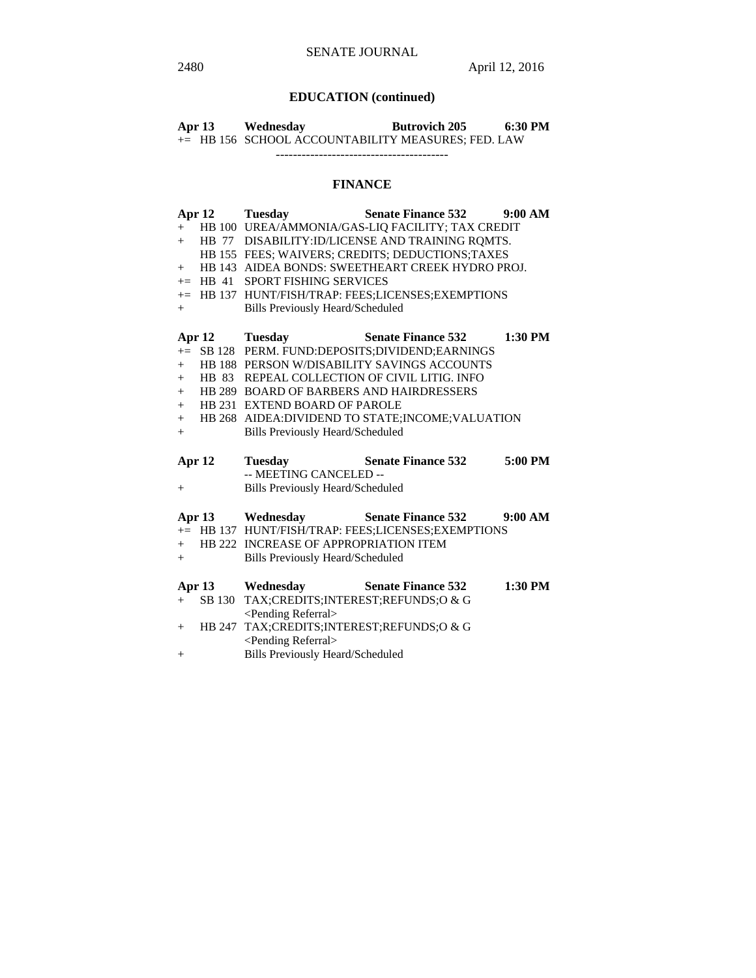# **EDUCATION (continued)**

| Apr 13 | Wednesday | <b>Butrovich 205</b>                               | 6:30 PM |
|--------|-----------|----------------------------------------------------|---------|
|        |           | += HB 156 SCHOOL ACCOUNTABILITY MEASURES; FED. LAW |         |
|        |           |                                                    |         |

## **FINANCE**

|        | Apr <sub>12</sub> | <b>Tuesday</b>                                     | <b>Senate Finance 532</b>                          | 9:00 AM   |  |
|--------|-------------------|----------------------------------------------------|----------------------------------------------------|-----------|--|
| $+$    |                   |                                                    | HB 100 UREA/AMMONIA/GAS-LIQ FACILITY; TAX CREDIT   |           |  |
| $+$    |                   | HB 77 DISABILITY:ID/LICENSE AND TRAINING ROMTS.    |                                                    |           |  |
|        |                   |                                                    | HB 155 FEES; WAIVERS; CREDITS; DEDUCTIONS; TAXES   |           |  |
| $^{+}$ |                   |                                                    | HB 143 AIDEA BONDS: SWEETHEART CREEK HYDRO PROJ.   |           |  |
|        |                   | += HB 41 SPORT FISHING SERVICES                    |                                                    |           |  |
|        |                   |                                                    | += HB 137 HUNT/FISH/TRAP: FEES;LICENSES;EXEMPTIONS |           |  |
| $+$    |                   | <b>Bills Previously Heard/Scheduled</b>            |                                                    |           |  |
|        |                   |                                                    |                                                    |           |  |
|        |                   | Apr 12 Tuesday                                     | <b>Senate Finance 532</b>                          | 1:30 PM   |  |
|        |                   |                                                    | += SB 128 PERM. FUND:DEPOSITS;DIVIDEND;EARNINGS    |           |  |
| $+$    |                   |                                                    | HB 188 PERSON W/DISABILITY SAVINGS ACCOUNTS        |           |  |
| $+$    |                   |                                                    | HB 83 REPEAL COLLECTION OF CIVIL LITIG. INFO       |           |  |
| $+$    |                   | HB 289 BOARD OF BARBERS AND HAIRDRESSERS           |                                                    |           |  |
| $+$    |                   | HB 231 EXTEND BOARD OF PAROLE                      |                                                    |           |  |
| $+$    |                   | HB 268 AIDEA: DIVIDEND TO STATE; INCOME; VALUATION |                                                    |           |  |
| $+$    |                   | <b>Bills Previously Heard/Scheduled</b>            |                                                    |           |  |
|        | Apr <sub>12</sub> | <b>Tuesday</b>                                     | <b>Senate Finance 532</b>                          | 5:00 PM   |  |
|        |                   | -- MEETING CANCELED --                             |                                                    |           |  |
| $^{+}$ |                   | <b>Bills Previously Heard/Scheduled</b>            |                                                    |           |  |
|        |                   |                                                    | Apr 13 Wednesday Senate Finance 532                | 9:00 AM   |  |
|        |                   |                                                    | += HB 137 HUNT/FISH/TRAP: FEES;LICENSES;EXEMPTIONS |           |  |
| $+$    |                   | HB 222 INCREASE OF APPROPRIATION ITEM              |                                                    |           |  |
| $^{+}$ |                   | <b>Bills Previously Heard/Scheduled</b>            |                                                    |           |  |
|        |                   |                                                    |                                                    |           |  |
|        | Apr 13            | Wednesday                                          | <b>Senate Finance 532</b>                          | $1:30$ PM |  |
| $+$    |                   | SB 130 TAX; CREDITS; INTEREST; REFUNDS; O & G      |                                                    |           |  |
|        |                   | <pending referral=""></pending>                    |                                                    |           |  |
|        |                   | + HB 247 TAX;CREDITS;INTEREST;REFUNDS;O & G        |                                                    |           |  |
|        |                   | <pending referral=""></pending>                    |                                                    |           |  |
| $^{+}$ |                   | <b>Bills Previously Heard/Scheduled</b>            |                                                    |           |  |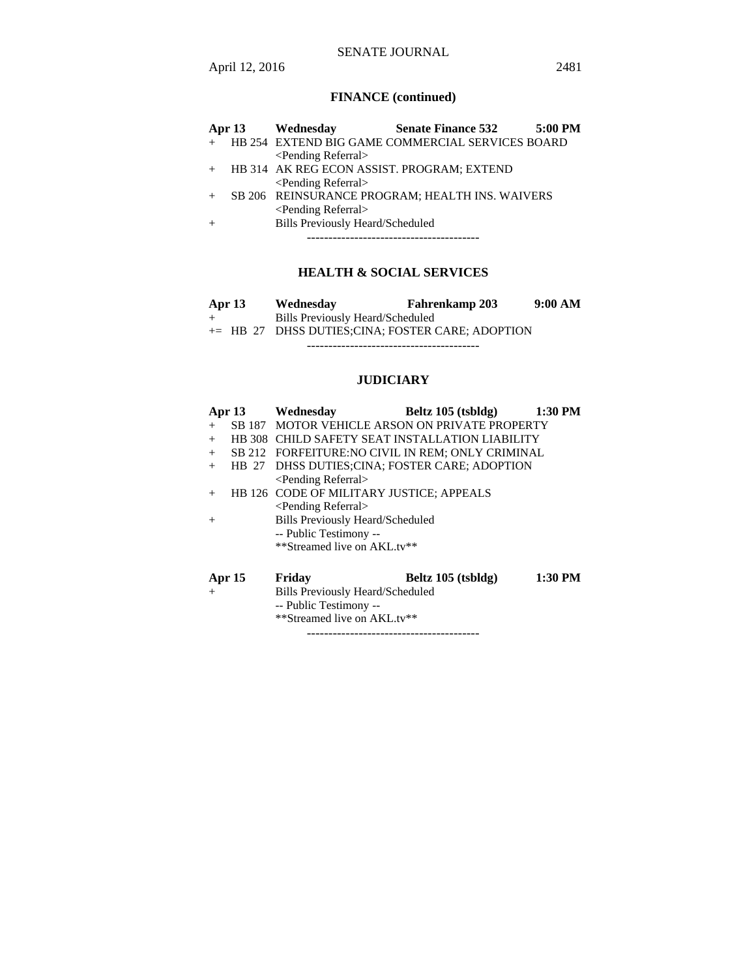|     | Apr $13$ | Wednesday                                  | <b>Senate Finance 532</b>                        | 5:00 PM |
|-----|----------|--------------------------------------------|--------------------------------------------------|---------|
| $+$ |          |                                            | HB 254 EXTEND BIG GAME COMMERCIAL SERVICES BOARD |         |
|     |          | <pending referral=""></pending>            |                                                  |         |
| $+$ |          | HB 314 AK REG ECON ASSIST. PROGRAM; EXTEND |                                                  |         |
|     |          | <pending referral=""></pending>            |                                                  |         |
|     |          |                                            | SB 206 REINSURANCE PROGRAM; HEALTH INS. WAIVERS  |         |
|     |          | <pending referral=""></pending>            |                                                  |         |
| $+$ |          | <b>Bills Previously Heard/Scheduled</b>    |                                                  |         |
|     |          |                                            |                                                  |         |

## **HEALTH & SOCIAL SERVICES**

| Apr 13 | Wednesday                               | <b>Fahrenkamp 203</b>                              | 9:00 AM |
|--------|-----------------------------------------|----------------------------------------------------|---------|
|        | <b>Bills Previously Heard/Scheduled</b> |                                                    |         |
|        |                                         | $+=$ HB 27 DHSS DUTIES;CINA; FOSTER CARE; ADOPTION |         |
|        |                                         |                                                    |         |

# **JUDICIARY**

|        | <b>Apr 13</b> | Wednesdav                                | Beltz $105$ (tsbldg)                              | $1:30$ PM |
|--------|---------------|------------------------------------------|---------------------------------------------------|-----------|
| $+$    |               |                                          | SB 187 MOTOR VEHICLE ARSON ON PRIVATE PROPERTY    |           |
| $+$    |               |                                          | HB 308 CHILD SAFETY SEAT INSTALLATION LIABILITY   |           |
| $+$    |               |                                          | SB 212 FORFEITURE: NO CIVIL IN REM; ONLY CRIMINAL |           |
| $+$    | HB 27         |                                          | DHSS DUTIES; CINA; FOSTER CARE; ADOPTION          |           |
|        |               | <pending referral=""></pending>          |                                                   |           |
| $+$    |               | HB 126 CODE OF MILITARY JUSTICE; APPEALS |                                                   |           |
|        |               | <pending referral=""></pending>          |                                                   |           |
| $^{+}$ |               | <b>Bills Previously Heard/Scheduled</b>  |                                                   |           |
|        |               | -- Public Testimony --                   |                                                   |           |
|        |               | **Streamed live on AKL.tv**              |                                                   |           |
|        | Apr 15        | Friday                                   | Beltz $105$ (tsbldg)                              | 1:30 PM   |
| $+$    |               | Bills Previously Heard/Scheduled         |                                                   |           |
|        |               | -- Public Testimony --                   |                                                   |           |
|        |               | **Streamed live on AKL.tv**              |                                                   |           |

----------------------------------------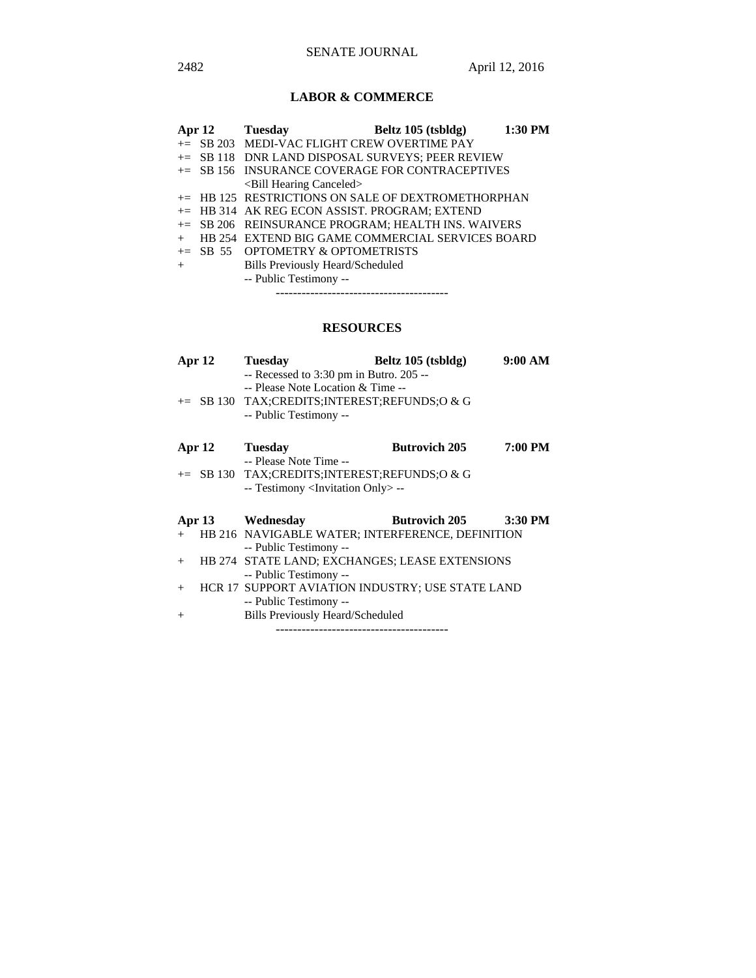# **LABOR & COMMERCE**

|     |  | Apr 12 Tuesday                                     | Beltz 105 (tsbldg) | 1:30 PM |  |
|-----|--|----------------------------------------------------|--------------------|---------|--|
|     |  | $+=$ SB 203 MEDI-VAC FLIGHT CREW OVERTIME PAY      |                    |         |  |
|     |  | += SB 118 DNR LAND DISPOSAL SURVEYS; PEER REVIEW   |                    |         |  |
|     |  | += SB 156 INSURANCE COVERAGE FOR CONTRACEPTIVES    |                    |         |  |
|     |  | <bill canceled="" hearing=""></bill>               |                    |         |  |
|     |  | += HB 125 RESTRICTIONS ON SALE OF DEXTROMETHORPHAN |                    |         |  |
|     |  | $+=$ HB 314 AK REG ECON ASSIST. PROGRAM; EXTEND    |                    |         |  |
|     |  | += SB 206 REINSURANCE PROGRAM; HEALTH INS. WAIVERS |                    |         |  |
| $+$ |  | HB 254 EXTEND BIG GAME COMMERCIAL SERVICES BOARD   |                    |         |  |
|     |  | $+=$ SB 55 OPTOMETRY & OPTOMETRISTS                |                    |         |  |
| $+$ |  | <b>Bills Previously Heard/Scheduled</b>            |                    |         |  |
|     |  | -- Public Testimony --                             |                    |         |  |
|     |  |                                                    |                    |         |  |

## **RESOURCES**

| Apr <sub>12</sub> | <b>Tuesday</b>                                                                                                                                         | Beltz 105 (tsbldg)   | 9:00 AM |
|-------------------|--------------------------------------------------------------------------------------------------------------------------------------------------------|----------------------|---------|
|                   | -- Recessed to 3:30 pm in Butro. 205 --<br>-- Please Note Location & Time --<br>+= SB 130 TAX;CREDITS;INTEREST;REFUNDS;O & G<br>-- Public Testimony -- |                      |         |
| Apr 12            | <b>Tuesday</b>                                                                                                                                         | <b>Butrovich 205</b> | 7:00 PM |
|                   | -- Please Note Time --                                                                                                                                 |                      |         |
|                   | $\pm$ SB 130 TAX;CREDITS;INTEREST;REFUNDS;O & G                                                                                                        |                      |         |
|                   | -- Testimony <invitation only=""> --</invitation>                                                                                                      |                      |         |
|                   | Apr 13 Wednesday                                                                                                                                       | <b>Butrovich 205</b> | 3:30 PM |
| $+$               | HB 216 NAVIGABLE WATER; INTERFERENCE, DEFINITION                                                                                                       |                      |         |
|                   | -- Public Testimony --                                                                                                                                 |                      |         |
| $^{+}$            | HB 274 STATE LAND; EXCHANGES; LEASE EXTENSIONS                                                                                                         |                      |         |
|                   | -- Public Testimony --                                                                                                                                 |                      |         |
| $+$               | HCR 17 SUPPORT AVIATION INDUSTRY; USE STATE LAND                                                                                                       |                      |         |
|                   | -- Public Testimony --                                                                                                                                 |                      |         |
| $^{+}$            | <b>Bills Previously Heard/Scheduled</b>                                                                                                                |                      |         |
|                   | -----------------------------------                                                                                                                    |                      |         |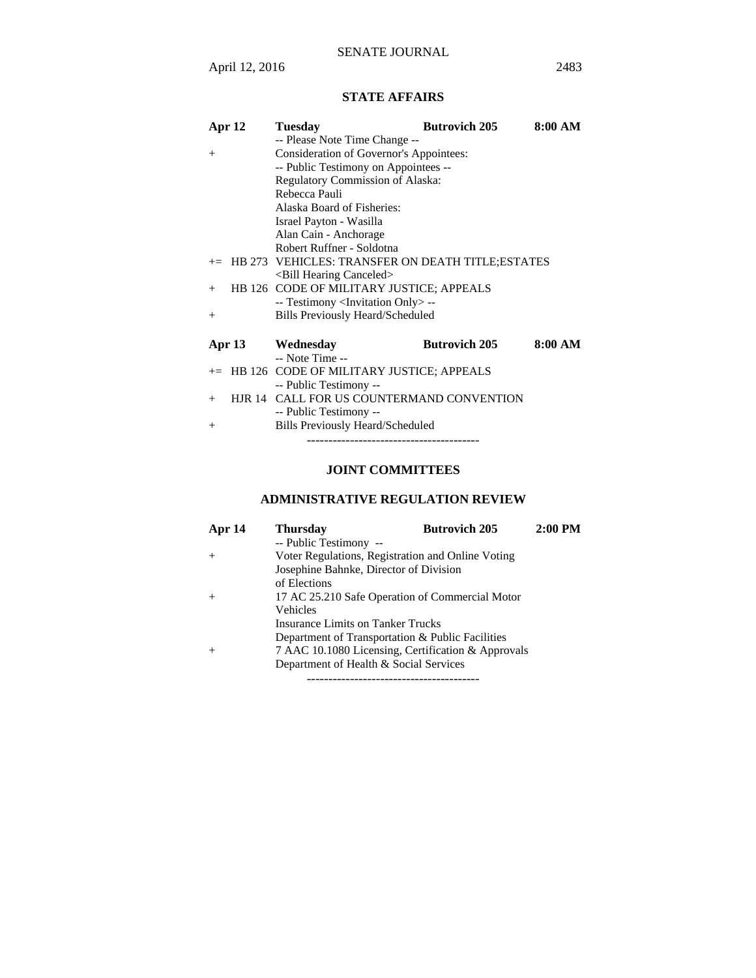# **STATE AFFAIRS**

| Apr 12        | <b>Tuesday</b>                                       | <b>Butrovich 205</b> | 8:00 AM |
|---------------|------------------------------------------------------|----------------------|---------|
|               | -- Please Note Time Change --                        |                      |         |
| $+$           | Consideration of Governor's Appointees:              |                      |         |
|               | -- Public Testimony on Appointees --                 |                      |         |
|               | Regulatory Commission of Alaska:                     |                      |         |
|               | Rebecca Pauli                                        |                      |         |
|               | Alaska Board of Fisheries:                           |                      |         |
|               | Israel Payton - Wasilla                              |                      |         |
|               | Alan Cain - Anchorage                                |                      |         |
|               | Robert Ruffner - Soldotna                            |                      |         |
|               | += HB 273 VEHICLES: TRANSFER ON DEATH TITLE; ESTATES |                      |         |
|               | <bill canceled="" hearing=""></bill>                 |                      |         |
| $^{+}$        | HB 126 CODE OF MILITARY JUSTICE; APPEALS             |                      |         |
|               | -- Testimony <invitation only=""> --</invitation>    |                      |         |
| $^{+}$        | <b>Bills Previously Heard/Scheduled</b>              |                      |         |
|               |                                                      |                      |         |
| <b>Apr 13</b> | Wednesday                                            | <b>Butrovich 205</b> | 8:00 AM |
|               | -- Note Time --                                      |                      |         |
| $+=$          | HB 126 CODE OF MILITARY JUSTICE; APPEALS             |                      |         |
|               | -- Public Testimony --                               |                      |         |
| $^{+}$        | HJR 14 CALL FOR US COUNTERMAND CONVENTION            |                      |         |
|               | -- Public Testimony --                               |                      |         |
| $^{+}$        | <b>Bills Previously Heard/Scheduled</b>              |                      |         |
|               |                                                      |                      |         |

# **JOINT COMMITTEES**

# **ADMINISTRATIVE REGULATION REVIEW**

| Apr 14 | <b>Thursday</b>                                    | <b>Butrovich 205</b> | $2:00$ PM |
|--------|----------------------------------------------------|----------------------|-----------|
|        | -- Public Testimony --                             |                      |           |
| $^+$   | Voter Regulations, Registration and Online Voting  |                      |           |
|        | Josephine Bahnke, Director of Division             |                      |           |
|        | of Elections                                       |                      |           |
| $^+$   | 17 AC 25.210 Safe Operation of Commercial Motor    |                      |           |
|        | Vehicles                                           |                      |           |
|        | Insurance Limits on Tanker Trucks                  |                      |           |
|        | Department of Transportation & Public Facilities   |                      |           |
| $^+$   | 7 AAC 10.1080 Licensing, Certification & Approvals |                      |           |
|        | Department of Health & Social Services             |                      |           |
|        | ------------------------------------               |                      |           |